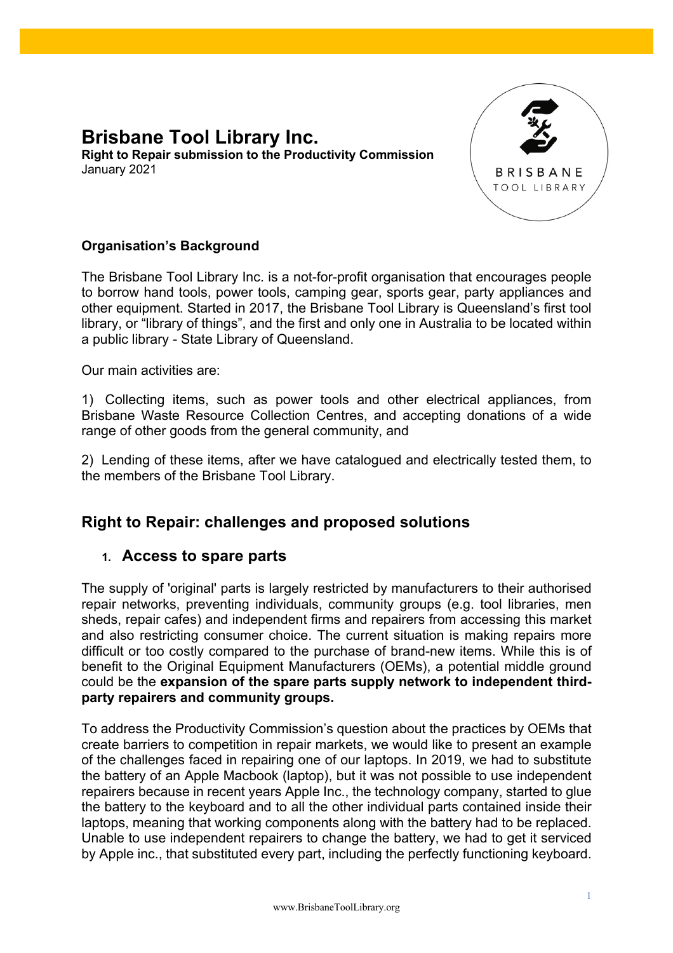# **Brisbane Tool Library Inc.**

**Right to Repair submission to the Productivity Commission** January 2021



#### **Organisation's Background**

The Brisbane Tool Library Inc. is a not-for-profit organisation that encourages people to borrow hand tools, power tools, camping gear, sports gear, party appliances and other equipment. Started in 2017, the Brisbane Tool Library is Queensland's first tool library, or "library of things", and the first and only one in Australia to be located within a public library - State Library of Queensland.

Our main activities are:

1) Collecting items, such as power tools and other electrical appliances, from Brisbane Waste Resource Collection Centres, and accepting donations of a wide range of other goods from the general community, and

2) Lending of these items, after we have catalogued and electrically tested them, to the members of the Brisbane Tool Library.

# **Right to Repair: challenges and proposed solutions**

#### **1. Access to spare parts**

The supply of 'original' parts is largely restricted by manufacturers to their authorised repair networks, preventing individuals, community groups (e.g. tool libraries, men sheds, repair cafes) and independent firms and repairers from accessing this market and also restricting consumer choice. The current situation is making repairs more difficult or too costly compared to the purchase of brand-new items. While this is of benefit to the Original Equipment Manufacturers (OEMs), a potential middle ground could be the **expansion of the spare parts supply network to independent thirdparty repairers and community groups.**

To address the Productivity Commission's question about the practices by OEMs that create barriers to competition in repair markets, we would like to present an example of the challenges faced in repairing one of our laptops. In 2019, we had to substitute the battery of an Apple Macbook (laptop), but it was not possible to use independent repairers because in recent years Apple Inc., the technology company, started to glue the battery to the keyboard and to all the other individual parts contained inside their laptops, meaning that working components along with the battery had to be replaced. Unable to use independent repairers to change the battery, we had to get it serviced by Apple inc., that substituted every part, including the perfectly functioning keyboard.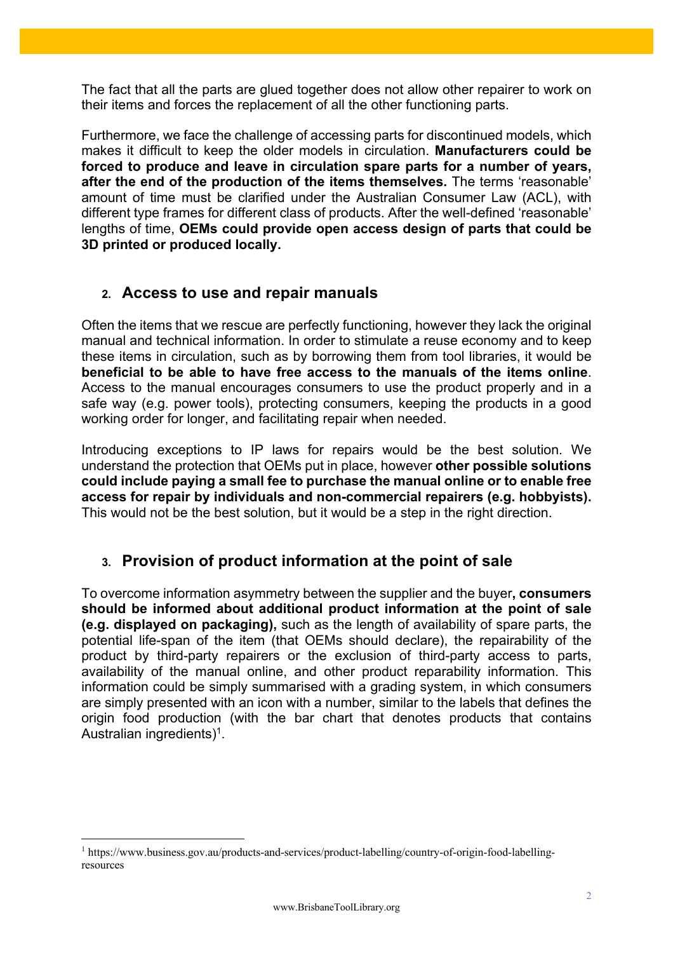The fact that all the parts are glued together does not allow other repairer to work on their items and forces the replacement of all the other functioning parts.

Furthermore, we face the challenge of accessing parts for discontinued models, which makes it difficult to keep the older models in circulation. **Manufacturers could be forced to produce and leave in circulation spare parts for a number of years, after the end of the production of the items themselves.** The terms 'reasonable' amount of time must be clarified under the Australian Consumer Law (ACL), with different type frames for different class of products. After the well-defined 'reasonable' lengths of time, **OEMs could provide open access design of parts that could be 3D printed or produced locally.** 

#### **2. Access to use and repair manuals**

Often the items that we rescue are perfectly functioning, however they lack the original manual and technical information. In order to stimulate a reuse economy and to keep these items in circulation, such as by borrowing them from tool libraries, it would be **beneficial to be able to have free access to the manuals of the items online**. Access to the manual encourages consumers to use the product properly and in a safe way (e.g. power tools), protecting consumers, keeping the products in a good working order for longer, and facilitating repair when needed.

Introducing exceptions to IP laws for repairs would be the best solution. We understand the protection that OEMs put in place, however **other possible solutions could include paying a small fee to purchase the manual online or to enable free access for repair by individuals and non-commercial repairers (e.g. hobbyists).** This would not be the best solution, but it would be a step in the right direction.

# **3. Provision of product information at the point of sale**

To overcome information asymmetry between the supplier and the buyer**, consumers should be informed about additional product information at the point of sale (e.g. displayed on packaging),** such as the length of availability of spare parts, the potential life-span of the item (that OEMs should declare), the repairability of the product by third-party repairers or the exclusion of third-party access to parts, availability of the manual online, and other product reparability information. This information could be simply summarised with a grading system, in which consumers are simply presented with an icon with a number, similar to the labels that defines the origin food production (with the bar chart that denotes products that contains Australian ingredients)<sup>1</sup>.

<sup>1</sup> https://www.business.gov.au/products-and-services/product-labelling/country-of-origin-food-labellingresources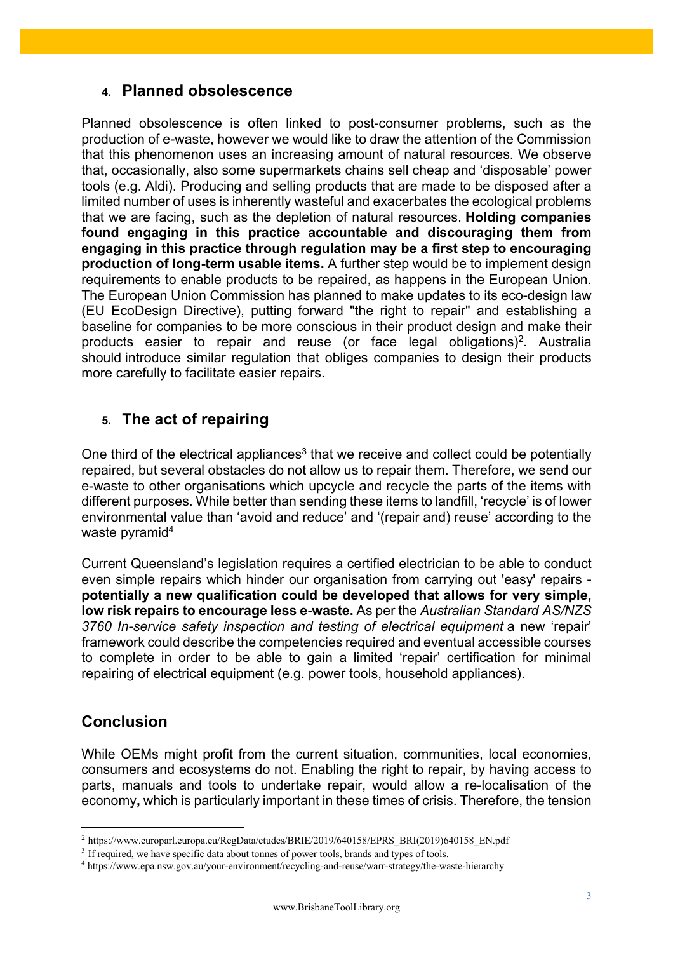#### **4. Planned obsolescence**

Planned obsolescence is often linked to post-consumer problems, such as the production of e-waste, however we would like to draw the attention of the Commission that this phenomenon uses an increasing amount of natural resources. We observe that, occasionally, also some supermarkets chains sell cheap and 'disposable' power tools (e.g. Aldi). Producing and selling products that are made to be disposed after a limited number of uses is inherently wasteful and exacerbates the ecological problems that we are facing, such as the depletion of natural resources. **Holding companies found engaging in this practice accountable and discouraging them from engaging in this practice through regulation may be a first step to encouraging production of long-term usable items.** A further step would be to implement design requirements to enable products to be repaired, as happens in the European Union. The European Union Commission has planned to make updates to its eco-design law (EU EcoDesign Directive), putting forward "the right to repair" and establishing a baseline for companies to be more conscious in their product design and make their products easier to repair and reuse (or face legal obligations)<sup>2</sup>. Australia should introduce similar regulation that obliges companies to design their products more carefully to facilitate easier repairs.

# **5. The act of repairing**

One third of the electrical appliances<sup>3</sup> that we receive and collect could be potentially repaired, but several obstacles do not allow us to repair them. Therefore, we send our e-waste to other organisations which upcycle and recycle the parts of the items with different purposes. While better than sending these items to landfill, 'recycle' is of lower environmental value than 'avoid and reduce' and '(repair and) reuse' according to the waste pyramid<sup>4</sup>

Current Queensland's legislation requires a certified electrician to be able to conduct even simple repairs which hinder our organisation from carrying out 'easy' repairs **potentially a new qualification could be developed that allows for very simple, low risk repairs to encourage less e-waste.** As per the *Australian Standard AS/NZS 3760 In-service safety inspection and testing of electrical equipment* a new 'repair' framework could describe the competencies required and eventual accessible courses to complete in order to be able to gain a limited 'repair' certification for minimal repairing of electrical equipment (e.g. power tools, household appliances).

# **Conclusion**

While OEMs might profit from the current situation, communities, local economies, consumers and ecosystems do not. Enabling the right to repair, by having access to parts, manuals and tools to undertake repair, would allow a re-localisation of the economy**,** which is particularly important in these times of crisis. Therefore, the tension

<sup>&</sup>lt;sup>2</sup> https://www.europarl.europa.eu/RegData/etudes/BRIE/2019/640158/EPRS\_BRI(2019)640158\_EN.pdf

<sup>&</sup>lt;sup>3</sup> If required, we have specific data about tonnes of power tools, brands and types of tools.

<sup>4</sup> https://www.epa.nsw.gov.au/your-environment/recycling-and-reuse/warr-strategy/the-waste-hierarchy